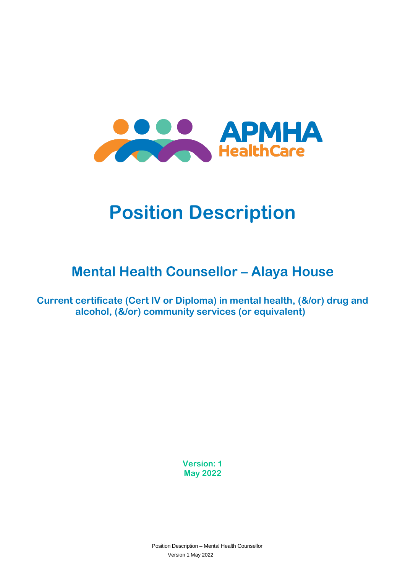

# **Position Description**

## **Mental Health Counsellor – Alaya House**

**Current certificate (Cert IV or Diploma) in mental health, (&/or) drug and alcohol, (&/or) community services (or equivalent)**

> **Version: 1 May 2022**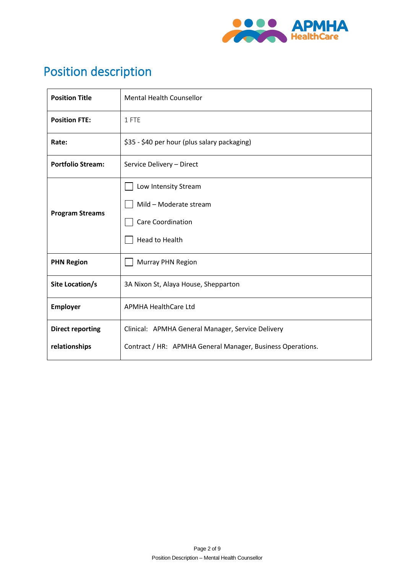

## Position description

| <b>Position Title</b>    | <b>Mental Health Counsellor</b>                            |  |  |  |  |
|--------------------------|------------------------------------------------------------|--|--|--|--|
| <b>Position FTE:</b>     | 1 FTE                                                      |  |  |  |  |
| Rate:                    | \$35 - \$40 per hour (plus salary packaging)               |  |  |  |  |
| <b>Portfolio Stream:</b> | Service Delivery - Direct                                  |  |  |  |  |
| <b>Program Streams</b>   | Low Intensity Stream                                       |  |  |  |  |
|                          | Mild - Moderate stream                                     |  |  |  |  |
|                          | <b>Care Coordination</b>                                   |  |  |  |  |
|                          | <b>Head to Health</b>                                      |  |  |  |  |
| <b>PHN Region</b>        | Murray PHN Region                                          |  |  |  |  |
| Site Location/s          | 3A Nixon St, Alaya House, Shepparton                       |  |  |  |  |
| Employer                 | <b>APMHA HealthCare Ltd</b>                                |  |  |  |  |
| <b>Direct reporting</b>  | Clinical: APMHA General Manager, Service Delivery          |  |  |  |  |
| relationships            | Contract / HR: APMHA General Manager, Business Operations. |  |  |  |  |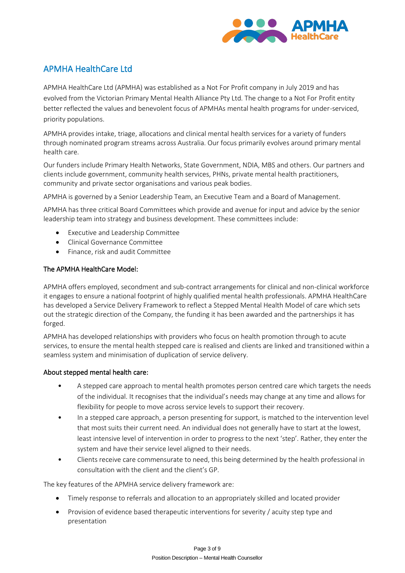

### APMHA HealthCare Ltd

APMHA HealthCare Ltd (APMHA) was established as a Not For Profit company in July 2019 and has evolved from the Victorian Primary Mental Health Alliance Pty Ltd. The change to a Not For Profit entity better reflected the values and benevolent focus of APMHAs mental health programs for under-serviced, priority populations.

APMHA provides intake, triage, allocations and clinical mental health services for a variety of funders through nominated program streams across Australia. Our focus primarily evolves around primary mental health care.

Our funders include Primary Health Networks, State Government, NDIA, MBS and others. Our partners and clients include government, community health services, PHNs, private mental health practitioners, community and private sector organisations and various peak bodies.

APMHA is governed by a Senior Leadership Team, an Executive Team and a Board of Management.

APMHA has three critical Board Committees which provide and avenue for input and advice by the senior leadership team into strategy and business development. These committees include:

- Executive and Leadership Committee
- Clinical Governance Committee
- Finance, risk and audit Committee

#### The APMHA HealthCare Model:

APMHA offers employed, secondment and sub-contract arrangements for clinical and non-clinical workforce it engages to ensure a national footprint of highly qualified mental health professionals. APMHA HealthCare has developed a Service Delivery Framework to reflect a Stepped Mental Health Model of care which sets out the strategic direction of the Company, the funding it has been awarded and the partnerships it has forged.

APMHA has developed relationships with providers who focus on health promotion through to acute services, to ensure the mental health stepped care is realised and clients are linked and transitioned within a seamless system and minimisation of duplication of service delivery.

#### About stepped mental health care:

- A stepped care approach to mental health promotes person centred care which targets the needs of the individual. It recognises that the individual's needs may change at any time and allows for flexibility for people to move across service levels to support their recovery.
- In a stepped care approach, a person presenting for support, is matched to the intervention level that most suits their current need. An individual does not generally have to start at the lowest, least intensive level of intervention in order to progress to the next 'step'. Rather, they enter the system and have their service level aligned to their needs.
- Clients receive care commensurate to need, this being determined by the health professional in consultation with the client and the client's GP.

The key features of the APMHA service delivery framework are:

- Timely response to referrals and allocation to an appropriately skilled and located provider
- Provision of evidence based therapeutic interventions for severity / acuity step type and presentation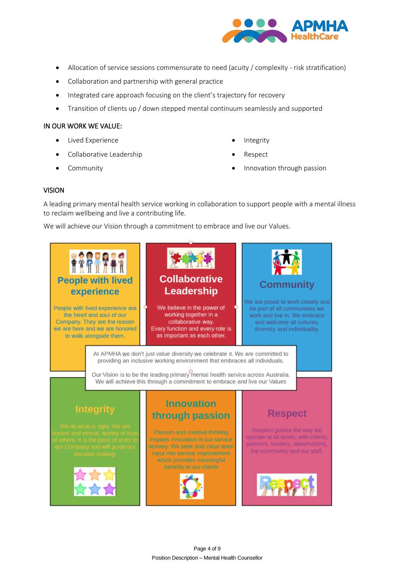

- Allocation of service sessions commensurate to need (acuity / complexity risk stratification)
- Collaboration and partnership with general practice
- Integrated care approach focusing on the client's trajectory for recovery
- Transition of clients up / down stepped mental continuum seamlessly and supported

#### IN OUR WORK WE VALUE:

- Lived Experience
- Collaborative Leadership
- **Community**
- **Integrity**
- Respect
- Innovation through passion

#### VISION

A leading primary mental health service working in collaboration to support people with a mental illness to reclaim wellbeing and live a contributing life.

We will achieve our Vision through a commitment to embrace and live our Values.

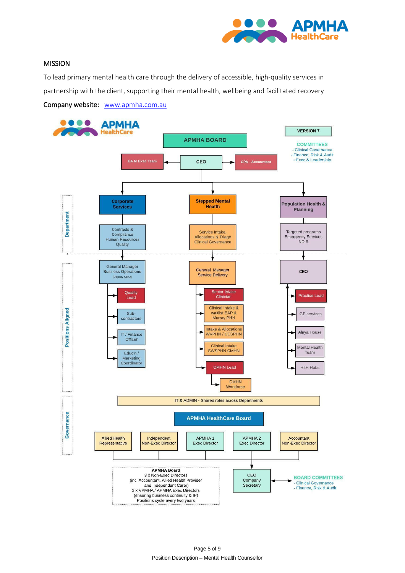

#### MISSION

To lead primary mental health care through the delivery of accessible, high-quality services in partnership with the client, supporting their mental health, wellbeing and facilitated recovery

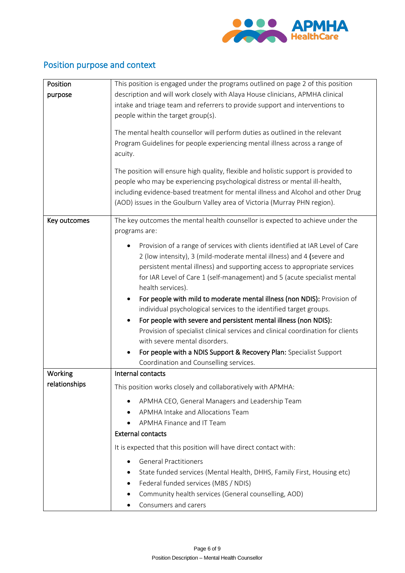

### Position purpose and context

| Position      | This position is engaged under the programs outlined on page 2 of this position                                                                                    |  |  |  |  |
|---------------|--------------------------------------------------------------------------------------------------------------------------------------------------------------------|--|--|--|--|
| purpose       | description and will work closely with Alaya House clinicians, APMHA clinical                                                                                      |  |  |  |  |
|               | intake and triage team and referrers to provide support and interventions to                                                                                       |  |  |  |  |
|               | people within the target group(s).                                                                                                                                 |  |  |  |  |
|               |                                                                                                                                                                    |  |  |  |  |
|               | The mental health counsellor will perform duties as outlined in the relevant<br>Program Guidelines for people experiencing mental illness across a range of        |  |  |  |  |
|               | acuity.                                                                                                                                                            |  |  |  |  |
|               |                                                                                                                                                                    |  |  |  |  |
|               | The position will ensure high quality, flexible and holistic support is provided to<br>people who may be experiencing psychological distress or mental ill-health, |  |  |  |  |
|               |                                                                                                                                                                    |  |  |  |  |
|               | including evidence-based treatment for mental illness and Alcohol and other Drug                                                                                   |  |  |  |  |
|               | (AOD) issues in the Goulburn Valley area of Victoria (Murray PHN region).                                                                                          |  |  |  |  |
| Key outcomes  | The key outcomes the mental health counsellor is expected to achieve under the                                                                                     |  |  |  |  |
|               | programs are:                                                                                                                                                      |  |  |  |  |
|               |                                                                                                                                                                    |  |  |  |  |
|               | Provision of a range of services with clients identified at IAR Level of Care<br>2 (low intensity), 3 (mild-moderate mental illness) and 4 (severe and             |  |  |  |  |
|               | persistent mental illness) and supporting access to appropriate services                                                                                           |  |  |  |  |
|               | for IAR Level of Care 1 (self-management) and 5 (acute specialist mental                                                                                           |  |  |  |  |
|               | health services).                                                                                                                                                  |  |  |  |  |
|               | For people with mild to moderate mental illness (non NDIS): Provision of                                                                                           |  |  |  |  |
|               | individual psychological services to the identified target groups.                                                                                                 |  |  |  |  |
|               | For people with severe and persistent mental illness (non NDIS):<br>$\bullet$                                                                                      |  |  |  |  |
|               | Provision of specialist clinical services and clinical coordination for clients                                                                                    |  |  |  |  |
|               | with severe mental disorders.                                                                                                                                      |  |  |  |  |
|               | For people with a NDIS Support & Recovery Plan: Specialist Support                                                                                                 |  |  |  |  |
|               | Coordination and Counselling services.                                                                                                                             |  |  |  |  |
| Working       | Internal contacts                                                                                                                                                  |  |  |  |  |
| relationships | This position works closely and collaboratively with APMHA:                                                                                                        |  |  |  |  |
|               | APMHA CEO, General Managers and Leadership Team<br>٠                                                                                                               |  |  |  |  |
|               | APMHA Intake and Allocations Team                                                                                                                                  |  |  |  |  |
|               | APMHA Finance and IT Team                                                                                                                                          |  |  |  |  |
|               | <b>External contacts</b>                                                                                                                                           |  |  |  |  |
|               | It is expected that this position will have direct contact with:                                                                                                   |  |  |  |  |
|               | <b>General Practitioners</b>                                                                                                                                       |  |  |  |  |
|               | State funded services (Mental Health, DHHS, Family First, Housing etc)<br>٠                                                                                        |  |  |  |  |
|               | Federal funded services (MBS / NDIS)<br>٠                                                                                                                          |  |  |  |  |
|               | Community health services (General counselling, AOD)                                                                                                               |  |  |  |  |
|               | Consumers and carers                                                                                                                                               |  |  |  |  |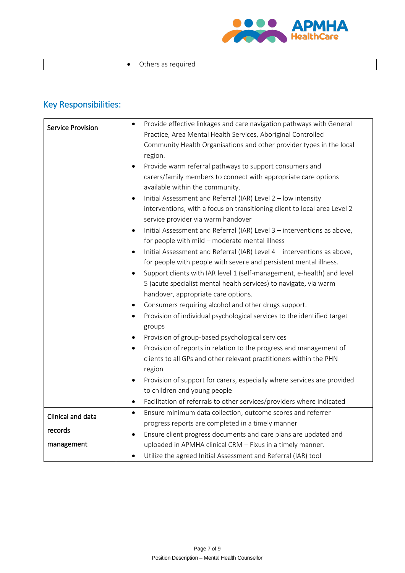

|  | $\sim$ $\sim$ roguirod<br>reguirea<br>Others as regi |
|--|------------------------------------------------------|
|--|------------------------------------------------------|

## Key Responsibilities:

| <b>Service Provision</b> | Provide effective linkages and care navigation pathways with General<br>$\bullet$    |
|--------------------------|--------------------------------------------------------------------------------------|
|                          | Practice, Area Mental Health Services, Aboriginal Controlled                         |
|                          | Community Health Organisations and other provider types in the local                 |
|                          | region.                                                                              |
|                          | Provide warm referral pathways to support consumers and<br>$\bullet$                 |
|                          | carers/family members to connect with appropriate care options                       |
|                          | available within the community.                                                      |
|                          | Initial Assessment and Referral (IAR) Level 2 - low intensity                        |
|                          | interventions, with a focus on transitioning client to local area Level 2            |
|                          | service provider via warm handover                                                   |
|                          | Initial Assessment and Referral (IAR) Level 3 - interventions as above,<br>$\bullet$ |
|                          | for people with mild - moderate mental illness                                       |
|                          | Initial Assessment and Referral (IAR) Level 4 - interventions as above,              |
|                          | for people with people with severe and persistent mental illness.                    |
|                          | Support clients with IAR level 1 (self-management, e-health) and level               |
|                          | 5 (acute specialist mental health services) to navigate, via warm                    |
|                          | handover, appropriate care options.                                                  |
|                          | Consumers requiring alcohol and other drugs support.                                 |
|                          | Provision of individual psychological services to the identified target              |
|                          | groups                                                                               |
|                          | Provision of group-based psychological services                                      |
|                          | Provision of reports in relation to the progress and management of<br>$\bullet$      |
|                          | clients to all GPs and other relevant practitioners within the PHN                   |
|                          | region                                                                               |
|                          | Provision of support for carers, especially where services are provided              |
|                          | to children and young people                                                         |
|                          | Facilitation of referrals to other services/providers where indicated                |
| Clinical and data        | Ensure minimum data collection, outcome scores and referrer<br>$\bullet$             |
|                          | progress reports are completed in a timely manner                                    |
| records                  | Ensure client progress documents and care plans are updated and                      |
| management               | uploaded in APMHA clinical CRM - Fixus in a timely manner.                           |
|                          | Utilize the agreed Initial Assessment and Referral (IAR) tool                        |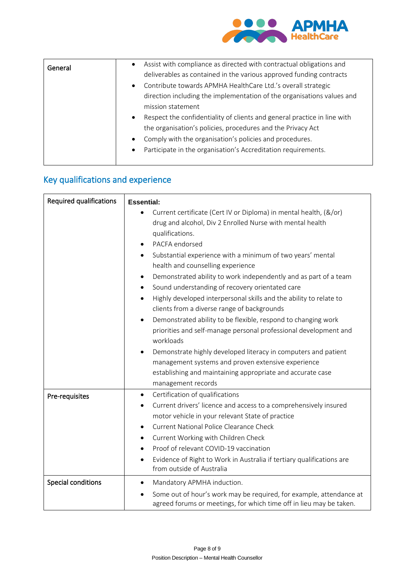

| General | Assist with compliance as directed with contractual obligations and<br>$\bullet$ |
|---------|----------------------------------------------------------------------------------|
|         | deliverables as contained in the various approved funding contracts              |
|         | Contribute towards APMHA HealthCare Ltd.'s overall strategic                     |
|         | direction including the implementation of the organisations values and           |
|         | mission statement                                                                |
|         | Respect the confidentiality of clients and general practice in line with         |
|         | the organisation's policies, procedures and the Privacy Act                      |
|         | Comply with the organisation's policies and procedures.<br>$\bullet$             |
|         | Participate in the organisation's Accreditation requirements.<br>$\bullet$       |
|         |                                                                                  |

## Key qualifications and experience

| <b>Required qualifications</b> | <b>Essential:</b>                                                                                                                                       |  |  |
|--------------------------------|---------------------------------------------------------------------------------------------------------------------------------------------------------|--|--|
|                                | Current certificate (Cert IV or Diploma) in mental health, (&/or)                                                                                       |  |  |
|                                | drug and alcohol, Div 2 Enrolled Nurse with mental health                                                                                               |  |  |
|                                | qualifications.                                                                                                                                         |  |  |
|                                | PACFA endorsed                                                                                                                                          |  |  |
|                                | Substantial experience with a minimum of two years' mental<br>$\bullet$                                                                                 |  |  |
|                                | health and counselling experience                                                                                                                       |  |  |
|                                | Demonstrated ability to work independently and as part of a team<br>$\bullet$                                                                           |  |  |
|                                | Sound understanding of recovery orientated care<br>$\bullet$                                                                                            |  |  |
|                                | Highly developed interpersonal skills and the ability to relate to<br>$\bullet$                                                                         |  |  |
|                                | clients from a diverse range of backgrounds                                                                                                             |  |  |
|                                | Demonstrated ability to be flexible, respond to changing work<br>$\bullet$                                                                              |  |  |
|                                | priorities and self-manage personal professional development and                                                                                        |  |  |
|                                | workloads                                                                                                                                               |  |  |
|                                | Demonstrate highly developed literacy in computers and patient                                                                                          |  |  |
|                                | management systems and proven extensive experience                                                                                                      |  |  |
|                                | establishing and maintaining appropriate and accurate case                                                                                              |  |  |
|                                | management records                                                                                                                                      |  |  |
| Pre-requisites                 | Certification of qualifications<br>$\bullet$                                                                                                            |  |  |
|                                | Current drivers' licence and access to a comprehensively insured                                                                                        |  |  |
|                                | motor vehicle in your relevant State of practice                                                                                                        |  |  |
|                                | Current National Police Clearance Check                                                                                                                 |  |  |
|                                | Current Working with Children Check                                                                                                                     |  |  |
|                                | Proof of relevant COVID-19 vaccination                                                                                                                  |  |  |
|                                | Evidence of Right to Work in Australia if tertiary qualifications are<br>from outside of Australia                                                      |  |  |
| <b>Special conditions</b>      | Mandatory APMHA induction.<br>$\bullet$                                                                                                                 |  |  |
|                                | Some out of hour's work may be required, for example, attendance at<br>$\bullet$<br>agreed forums or meetings, for which time off in lieu may be taken. |  |  |